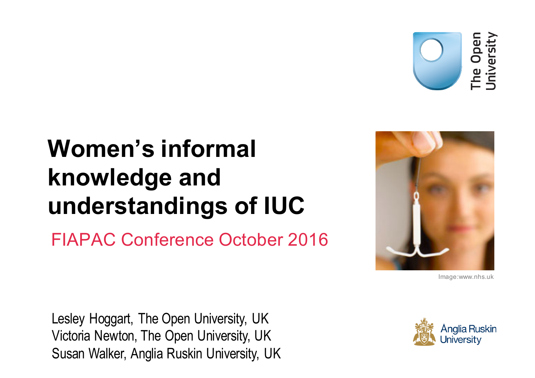

### **Women's informal knowledge and understandings of IUC**

FIAPAC Conference October 2016



Image:www.nhs.uk

Lesley Hoggart, The Open University, UK Victoria Newton, The Open University, UK Susan Walker, Anglia Ruskin University, UK

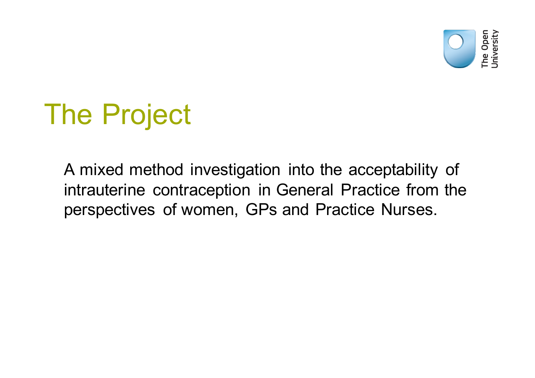

## The Project

A mixed method investigation into the acceptability of intrauterine contraception in General Practice from the perspectives of women, GPs and Practice Nurses.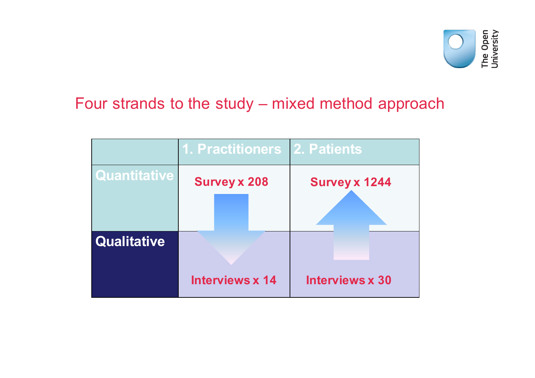

#### Four strands to the study – mixed method approach

|                     | 1. Practitioners 2. Patients |                        |
|---------------------|------------------------------|------------------------|
| <b>Quantitative</b> | <b>Survey x 208</b>          | <b>Survey x 1244</b>   |
|                     |                              |                        |
| Qualitative         |                              |                        |
|                     | <b>Interviews x 14</b>       | <b>Interviews x 30</b> |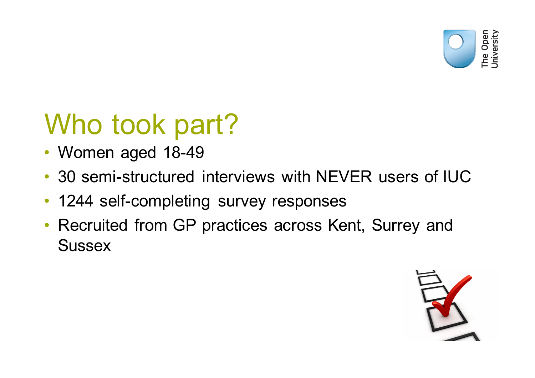

# Who took part?

- Women aged 18-49
- 30 semi-structured interviews with NEVER users of IUC
- 1244 self-completing survey responses
- Recruited from GP practices across Kent, Surrey and **Sussex**

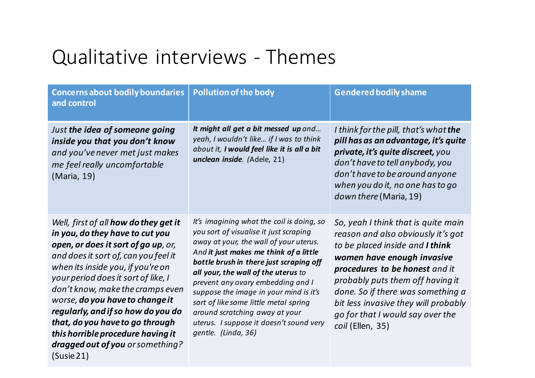### Qualitative interviews - Themes

| <b>Concerns about bodily boundaries</b><br>and control                                                                                                                                                                                                                                                                                                                                                                                                                            | <b>Pollution of the body</b>                                                                                                                                                                                                                                                                                                                                                                                                                                                          | <b>Gendered bodily shame</b>                                                                                                                                                                                                                                                                                                                          |
|-----------------------------------------------------------------------------------------------------------------------------------------------------------------------------------------------------------------------------------------------------------------------------------------------------------------------------------------------------------------------------------------------------------------------------------------------------------------------------------|---------------------------------------------------------------------------------------------------------------------------------------------------------------------------------------------------------------------------------------------------------------------------------------------------------------------------------------------------------------------------------------------------------------------------------------------------------------------------------------|-------------------------------------------------------------------------------------------------------------------------------------------------------------------------------------------------------------------------------------------------------------------------------------------------------------------------------------------------------|
| Just the idea of someone going<br>inside you that you don't know<br>and you've never met just makes<br>me feel really uncomfortable<br>(Maria, 19)                                                                                                                                                                                                                                                                                                                                | It might all get a bit messed up and<br>yeah, I wouldn't like if I was to think<br>about it, I would feel like it is all a bit<br>unclean inside. (Adele, 21)                                                                                                                                                                                                                                                                                                                         | I think for the pill, that's what the<br>pill has as an advantage, it's quite<br>private, it's quite discreet, you<br>don't have to tell anybody, you<br>don't have to be around anyone<br>when you do it, no one has to go<br>down there (Maria, 19)                                                                                                 |
| Well, first of all <b>how do they get it</b><br>in you, do they have to cut you<br>open, or does it sort of go up, or,<br>and does it sort of, can you feel it<br>when its inside you, if you're on<br>your period does it sort of like, I<br>don't know, make the cramps even<br>worse, do you have to change it<br>regularly, and if so how do you do<br>that, do you have to go through<br>this horrible procedure having it<br>dragged out of you or something?<br>(Susie 21) | It's imagining what the coil is doing, so<br>you sort of visualise it just scraping<br>away at your, the wall of your uterus.<br>And it just makes me think of a little<br>bottle brush in there just scraping off<br>all your, the wall of the uterus to<br>prevent any ovary embedding and I<br>suppose the image in your mind is it's<br>sort of like some little metal spring<br>around scratching away at your<br>uterus. I suppose it doesn't sound very<br>gentle. (Linda, 36) | So, yeah I think that is quite main<br>reason and also obviously it's got<br>to be placed inside and I think<br>women have enough invasive<br>procedures to be honest and it<br>probably puts them off having it<br>done. So if there was something a<br>bit less invasive they will probably<br>go for that I would say over the<br>coil (Ellen, 35) |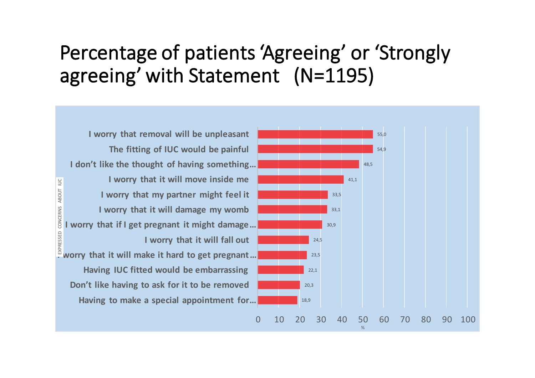### Percentage of patients 'Agreeing' or 'Strongly agreeing' with Statement (N=1195)

**I** worry that removal will be unpleasant The fitting of IUC would be painful **I** don't like the thought of having something... **I** worry that it will move inside me ABOUT IUC EXPRESSED CONCERNS ABOUT IUC**I** worry that my partner might feel it **CONCERNS I** worry that it will damage my womb **I**worry that if I get pregnant it might damage... SSED **I** worry that it will fall out  $\frac{8}{10}$  worry that it will make it hard to get pregnant... **Having IUC fitted would be embarrassing** Don't like having to ask for it to be removed Having to make a special appointment for...

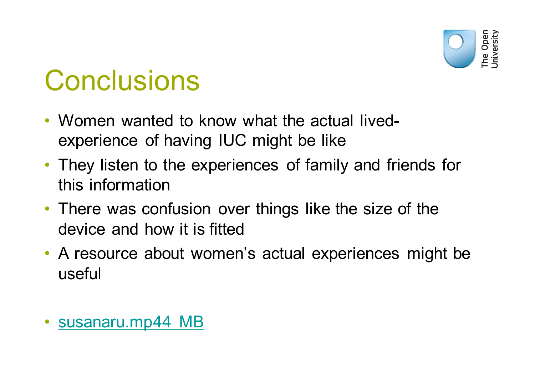

# **Conclusions**

- Women wanted to know what the actual livedexperience of having IUC might be like
- They listen to the experiences of family and friends for this information
- There was confusion over things like the size of the device and how it is fitted
- A resource about women's actual experiences might be useful
- susanaru.mp44 MB